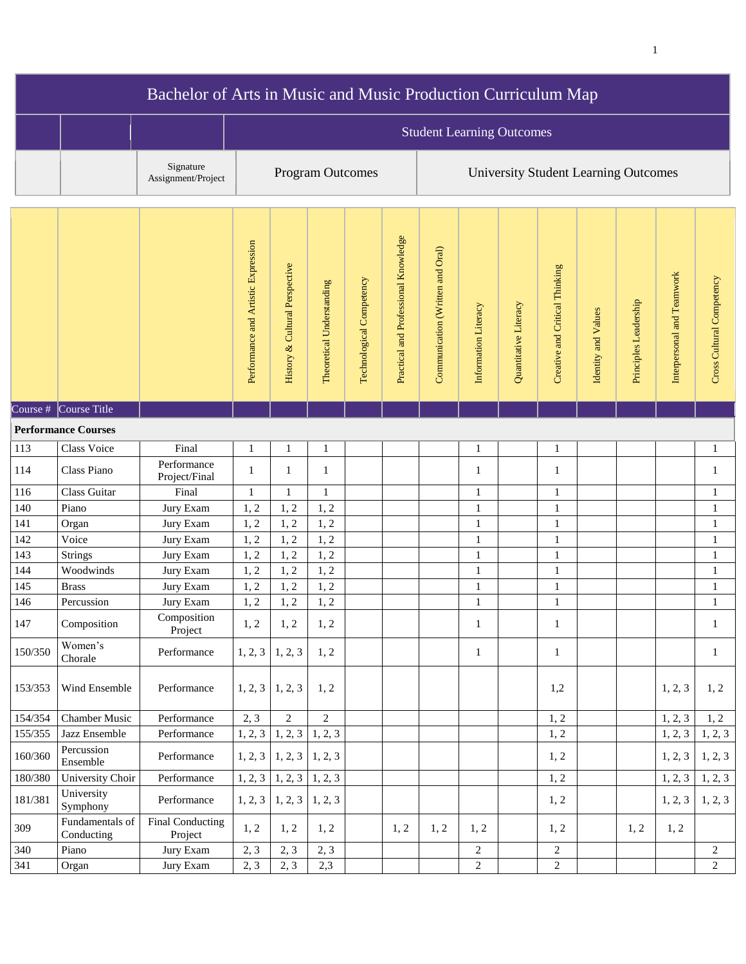| Bachelor of Arts in Music and Music Production Curriculum Map |                               |                                 |                                     |                                  |                           |                          |                                      |                                             |                      |                       |                                |                     |                       |                            |                           |  |
|---------------------------------------------------------------|-------------------------------|---------------------------------|-------------------------------------|----------------------------------|---------------------------|--------------------------|--------------------------------------|---------------------------------------------|----------------------|-----------------------|--------------------------------|---------------------|-----------------------|----------------------------|---------------------------|--|
|                                                               |                               |                                 |                                     | <b>Student Learning Outcomes</b> |                           |                          |                                      |                                             |                      |                       |                                |                     |                       |                            |                           |  |
|                                                               |                               | Signature<br>Assignment/Project |                                     |                                  | <b>Program Outcomes</b>   |                          |                                      | <b>University Student Learning Outcomes</b> |                      |                       |                                |                     |                       |                            |                           |  |
|                                                               |                               |                                 | Performance and Artistic Expression | History & Cultural Perspective   | Theoretical Understanding | Technological Competency | Practical and Professional Knowledge | Communication (Written and Oral)            | Information Literacy | Quantitative Literacy | Creative and Critical Thinking | Identity and Values | Principles Leadership | Interpersonal and Teamwork | Cross Cultural Competency |  |
|                                                               | Course $\#$ Course Title      |                                 |                                     |                                  |                           |                          |                                      |                                             |                      |                       |                                |                     |                       |                            |                           |  |
|                                                               | <b>Performance Courses</b>    |                                 |                                     |                                  |                           |                          |                                      |                                             |                      |                       |                                |                     |                       |                            |                           |  |
| 113                                                           | Class Voice                   | Final                           | 1                                   | $\mathbf{1}$                     | 1                         |                          |                                      |                                             | $\mathbf{1}$         |                       | $\mathbf{1}$                   |                     |                       |                            | $\mathbf{1}$              |  |
| 114                                                           | Class Piano                   | Performance<br>Project/Final    | 1                                   | $\mathbf{1}$                     | 1                         |                          |                                      |                                             | $\mathbf{1}$         |                       | $\mathbf{1}$                   |                     |                       |                            | $\mathbf{1}$              |  |
| 116                                                           | Class Guitar                  | Final                           | 1                                   | $\mathbf{1}$                     | 1                         |                          |                                      |                                             | $\mathbf{1}$         |                       | $\mathbf{1}$                   |                     |                       |                            | $\mathbf{1}$              |  |
| 140                                                           | Piano                         | Jury Exam                       | 1, 2                                | 1, 2                             | 1, 2                      |                          |                                      |                                             | $\mathbf{1}$         |                       | $\mathbf{1}$                   |                     |                       |                            | $\mathbf{1}$              |  |
| 141                                                           | Organ                         | Jury Exam                       | 1, 2                                | 1, 2                             | 1, 2                      |                          |                                      |                                             | $\mathbf{1}$         |                       | $\mathbf{1}$                   |                     |                       |                            | $\mathbf{1}$              |  |
| 142                                                           | Voice                         | Jury Exam                       | 1, 2                                | 1, 2                             | 1, 2                      |                          |                                      |                                             | $\mathbf{1}$         |                       | $\mathbf{1}$                   |                     |                       |                            | $\mathbf{1}$              |  |
| 143                                                           | Strings                       | Jury Exam                       | 1, 2                                | 1, 2                             | 1, 2                      |                          |                                      |                                             | $\mathbf{1}$         |                       | $\mathbf{1}$                   |                     |                       |                            | $\mathbf{1}$              |  |
| 144<br>145                                                    | Woodwinds                     | Jury Exam                       | 1, 2<br>1, 2                        | 1, 2<br>1, 2                     | 1, 2<br>1, 2              |                          |                                      |                                             | $\mathbf{1}$         |                       | $\mathbf{1}$                   |                     |                       |                            | $\mathbf{1}$              |  |
| 146                                                           | <b>Brass</b><br>Percussion    | Jury Exam<br>Jury Exam          | 1, 2                                | 1, 2                             | 1, 2                      |                          |                                      |                                             | 1<br>$\mathbf{1}$    |                       | 1<br>$\mathbf{1}$              |                     |                       |                            | 1<br>$\mathbf{1}$         |  |
| 147                                                           | Composition                   | Composition<br>Project          | 1, 2                                | 1, 2                             | 1, 2                      |                          |                                      |                                             | $\mathbf{1}$         |                       | $\mathbf{1}$                   |                     |                       |                            | $\mathbf{1}$              |  |
| 150/350                                                       | Women's<br>Chorale            | Performance                     | 1, 2, 3                             | 1, 2, 3                          | 1, 2                      |                          |                                      |                                             | $\mathbf{1}$         |                       | $\mathbf{1}$                   |                     |                       |                            | 1                         |  |
| 153/353                                                       | Wind Ensemble                 | Performance                     |                                     | $1, 2, 3 \mid 1, 2, 3$           | 1, 2                      |                          |                                      |                                             |                      |                       | 1,2                            |                     |                       | 1, 2, 3                    | 1, 2                      |  |
| 154/354                                                       | <b>Chamber Music</b>          | Performance                     | 2, 3                                | $\overline{2}$                   | $\overline{2}$            |                          |                                      |                                             |                      |                       | 1, 2                           |                     |                       | 1, 2, 3                    | 1, 2                      |  |
| 155/355                                                       | Jazz Ensemble                 | Performance                     | 1, 2, 3                             | 1, 2, 3                          | 1, 2, 3                   |                          |                                      |                                             |                      |                       | 1, 2                           |                     |                       | 1, 2, 3                    | 1, 2, 3                   |  |
| 160/360                                                       | Percussion<br>Ensemble        | Performance                     | 1, 2, 3                             | $1, 2, 3 \mid 1, 2, 3$           |                           |                          |                                      |                                             |                      |                       | 1, 2                           |                     |                       | 1, 2, 3                    | 1, 2, 3                   |  |
| 180/380                                                       | University Choir              | Performance                     |                                     | $1, 2, 3 \mid 1, 2, 3$           | 1, 2, 3                   |                          |                                      |                                             |                      |                       | 1, 2                           |                     |                       | 1, 2, 3                    | 1, 2, 3                   |  |
| 181/381                                                       | University<br>Symphony        | Performance                     | 1, 2, 3                             | 1, 2, 3                          | 1, 2, 3                   |                          |                                      |                                             |                      |                       | 1, 2                           |                     |                       | 1, 2, 3                    | 1, 2, 3                   |  |
| 309                                                           | Fundamentals of<br>Conducting | Final Conducting<br>Project     | 1, 2                                | 1, 2                             | 1, 2                      |                          | 1, 2                                 | 1, 2                                        | 1, 2                 |                       | 1, 2                           |                     | 1, 2                  | 1, 2                       |                           |  |
| 340                                                           | Piano                         | Jury Exam                       | 2, 3                                | 2, 3                             | 2, 3                      |                          |                                      |                                             | $\sqrt{2}$           |                       | $\overline{2}$                 |                     |                       |                            | $\overline{2}$            |  |
| 341                                                           | Organ                         | Jury Exam                       | 2, 3                                | 2, 3                             | 2,3                       |                          |                                      |                                             | $\sqrt{2}$           |                       | $\sqrt{2}$                     |                     |                       |                            | $\overline{2}$            |  |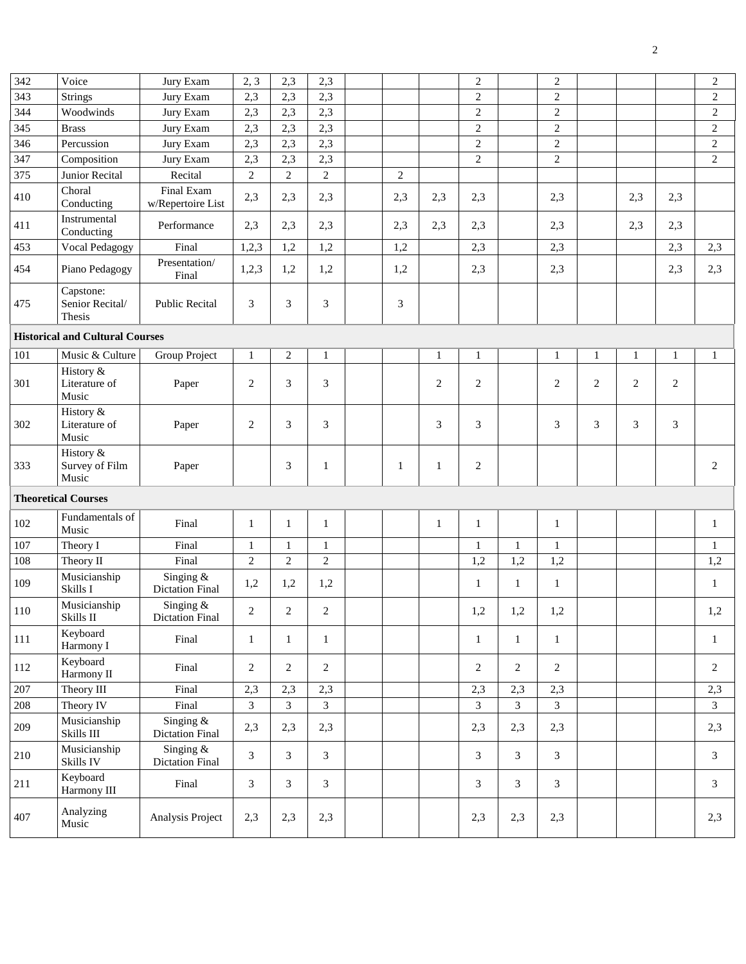| 342                        | Voice                                  | Jury Exam                             | 2, 3           | 2,3            | $\overline{c}$<br>2,3<br>$\mathbf{2}$ |  | $\overline{2}$ |              |                |                |                |                |                |                |                |
|----------------------------|----------------------------------------|---------------------------------------|----------------|----------------|---------------------------------------|--|----------------|--------------|----------------|----------------|----------------|----------------|----------------|----------------|----------------|
| 343                        | <b>Strings</b>                         | Jury Exam                             |                | 2,3            | 2,3                                   |  |                |              | $\sqrt{2}$     |                | $\sqrt{2}$     |                |                |                | $\overline{2}$ |
| 344                        | Woodwinds                              | Jury Exam                             | 2,3            | 2,3            | 2,3                                   |  |                |              | $\overline{2}$ |                | $\overline{c}$ |                |                |                | $\mathbf{2}$   |
| 345                        | <b>Brass</b><br>Jury Exam              |                                       | 2,3            | 2,3            | 2,3                                   |  |                |              | $\sqrt{2}$     |                | $\sqrt{2}$     |                |                |                | $\overline{c}$ |
| 346                        | Percussion                             | Jury Exam                             | 2,3            | 2,3            | 2,3                                   |  |                |              | $\sqrt{2}$     |                | $\sqrt{2}$     |                |                |                | $\overline{c}$ |
| 347                        | Composition                            | Jury Exam                             | 2,3            | 2,3            | 2,3                                   |  |                |              | $\overline{2}$ |                | $\overline{2}$ |                |                |                | $\overline{2}$ |
| 375                        | Junior Recital                         | Recital                               | $\overline{2}$ | $\overline{c}$ | $\overline{2}$                        |  | $\overline{2}$ |              |                |                |                |                |                |                |                |
| 410                        | Choral<br>Conducting                   | Final Exam<br>w/Repertoire List       | 2,3            | 2,3            | 2,3                                   |  | 2,3            | 2,3          | 2,3            |                | 2,3            |                | 2,3            | 2,3            |                |
| 411                        | Instrumental<br>Conducting             | Performance                           | 2,3            | 2,3            | 2,3                                   |  | 2,3            | 2,3          | 2,3            |                | 2,3            |                | 2,3            | 2,3            |                |
| 453                        | Vocal Pedagogy                         | Final                                 | 1,2,3          | 1,2            | 1,2                                   |  | 1,2            |              | 2,3            |                | 2,3            |                |                | 2,3            | 2,3            |
| 454                        | Piano Pedagogy                         | Presentation/<br>Final                | 1,2,3          | 1,2            | 1,2                                   |  | 1,2            |              | 2,3            |                | 2,3            |                |                | 2,3            | 2,3            |
| 475                        | Capstone:<br>Senior Recital/<br>Thesis | <b>Public Recital</b>                 | 3              | 3              | 3                                     |  | 3              |              |                |                |                |                |                |                |                |
|                            | <b>Historical and Cultural Courses</b> |                                       |                |                |                                       |  |                |              |                |                |                |                |                |                |                |
| 101                        | Music & Culture                        | <b>Group Project</b>                  | 1              | $\mathbf{2}$   | $\mathbf{1}$                          |  |                | 1            | $\,1$          |                | $\mathbf{1}$   | $\mathbf{1}$   | $\mathbf{1}$   | $\mathbf{1}$   | $\mathbf{1}$   |
| 301                        | History &<br>Literature of<br>Music    | Paper                                 | 2              | 3              | 3                                     |  |                | $\mathbf{2}$ | $\mathbf{2}$   |                | $\overline{2}$ | $\overline{2}$ | $\overline{2}$ | $\overline{2}$ |                |
| 302                        | History &<br>Literature of<br>Music    | Paper                                 | 2              | 3              | 3                                     |  |                | 3            | 3              |                | 3              | 3              | 3              | 3              |                |
| 333                        | History &<br>Survey of Film<br>Music   | Paper                                 |                | 3              | $\mathbf{1}$                          |  | $\mathbf{1}$   | 1            | $\sqrt{2}$     |                |                |                |                |                | 2              |
| <b>Theoretical Courses</b> |                                        |                                       |                |                |                                       |  |                |              |                |                |                |                |                |                |                |
| 102                        | Fundamentals of<br>Music               | Final                                 | $\mathbf{1}$   | $\mathbf{1}$   | $\mathbf{1}$                          |  |                | $\mathbf{1}$ | $\mathbf{1}$   |                | $\mathbf{1}$   |                |                |                | 1              |
| 107                        | Theory I                               | Final                                 | 1              | 1              | $\mathbf{1}$                          |  |                |              | $\mathbf{1}$   | $\mathbf{1}$   | $\mathbf{1}$   |                |                |                | 1              |
| 108                        | Theory II                              | Final                                 | $\overline{c}$ | $\mathbf{2}$   | $\overline{2}$                        |  |                |              | 1,2            | 1,2            | 1,2            |                |                |                | 1,2            |
| 109                        | Musicianship<br>Skills I               | Singing $&$<br><b>Dictation Final</b> | 1,2            | 1,2            | 1,2                                   |  |                |              | $\mathbf{1}$   | $\mathbf{1}$   | $\mathbf{1}$   |                |                |                | 1              |
| 110                        | Musicianship<br>Skills II              | Singing &<br><b>Dictation Final</b>   | $\overline{c}$ | 2              | $\overline{c}$                        |  |                |              | 1,2            | 1,2            | 1,2            |                |                |                | 1,2            |
| $111\,$                    | Keyboard<br>Harmony I                  | Final                                 | $\mathbf{1}$   | 1              | $\mathbf{1}$                          |  |                |              | $\mathbf{1}$   | $\mathbf{1}$   | $\mathbf{1}$   |                |                |                | $\mathbf{1}$   |
| 112                        | Keyboard<br>Harmony II                 | Final                                 | $\overline{2}$ | $\overline{2}$ | $\overline{c}$                        |  |                |              | $\overline{c}$ | $\overline{c}$ | $\mathbf{2}$   |                |                |                | $\overline{c}$ |
| 207                        | Theory III                             | Final                                 | 2,3            | 2,3            | 2,3                                   |  |                |              | 2,3            | 2,3            | 2,3            |                |                |                | 2,3            |
| 208                        | Theory IV                              | Final                                 | 3              | 3              | 3                                     |  |                |              | 3              | $\mathfrak{Z}$ | $\overline{3}$ |                |                |                | 3              |
| 209                        | Musicianship<br>Skills III             | Singing $&$<br><b>Dictation Final</b> | 2,3            | 2,3            | 2,3                                   |  |                |              | 2,3            | 2,3            | 2,3            |                |                |                | 2,3            |
| 210                        | Musicianship<br>Skills IV              | Singing &<br><b>Dictation Final</b>   | 3              | 3              | 3                                     |  |                |              | 3              | 3              | 3              |                |                |                | 3              |
| 211                        | Keyboard<br>Harmony III                | Final                                 | 3              | 3              | 3                                     |  |                |              | 3              | 3              | 3              |                |                |                | 3              |
| 407                        | Analyzing<br>Music                     | Analysis Project                      | 2,3            | 2,3            | 2,3                                   |  |                |              | 2,3            | 2,3            | 2,3            |                |                |                | 2,3            |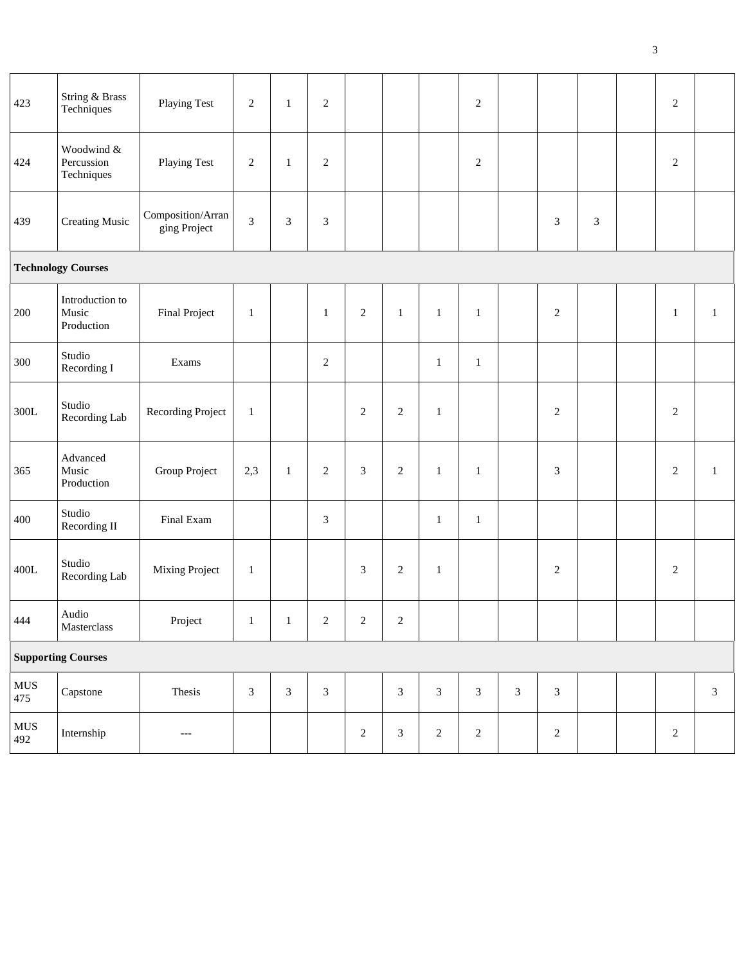| 423                | String & Brass<br>Techniques           | Playing Test                      | $\sqrt{2}$     | $\mathbf{1}$   | $\overline{2}$              |                             |                |                | $\overline{2}$ |                             |                             |                | $\sqrt{2}$   |                |
|--------------------|----------------------------------------|-----------------------------------|----------------|----------------|-----------------------------|-----------------------------|----------------|----------------|----------------|-----------------------------|-----------------------------|----------------|--------------|----------------|
| 424                | Woodwind &<br>Percussion<br>Techniques | <b>Playing Test</b>               | $\sqrt{2}$     | $\mathbf{1}$   | $\sqrt{2}$                  |                             |                |                | $\sqrt{2}$     |                             |                             |                | $\sqrt{2}$   |                |
| 439                | <b>Creating Music</b>                  | Composition/Arran<br>ging Project | $\mathfrak{Z}$ | $\mathfrak{Z}$ | $\boldsymbol{\mathfrak{Z}}$ |                             |                |                |                |                             | $\ensuremath{\mathfrak{Z}}$ | $\mathfrak{Z}$ |              |                |
|                    | <b>Technology Courses</b>              |                                   |                |                |                             |                             |                |                |                |                             |                             |                |              |                |
| 200                | Introduction to<br>Music<br>Production | <b>Final Project</b>              | $\mathbf{1}$   |                | $\mathbf{1}$                | $\sqrt{2}$                  | $\mathbf{1}$   | $\mathbf{1}$   | $\mathbf{1}$   |                             | $\sqrt{2}$                  |                | $\mathbf{1}$ | $\mathbf{1}$   |
| 300                | Studio<br>Recording I                  | Exams                             |                |                | $\sqrt{2}$                  |                             |                | $\mathbf{1}$   | $\mathbf{1}$   |                             |                             |                |              |                |
| $300L$             | Studio<br>Recording Lab                | Recording Project                 | $\mathbf{1}$   |                |                             | $\overline{2}$              | $\mathbf{2}$   | $\mathbf{1}$   |                |                             | $\sqrt{2}$                  |                | $\mathbf{2}$ |                |
| 365                | Advanced<br>Music<br>Production        | Group Project                     | 2,3            | $\mathbf{1}$   | $\overline{2}$              | $\ensuremath{\mathfrak{Z}}$ | $\overline{c}$ | $\mathbf{1}$   | $\mathbf{1}$   |                             | 3                           |                | $\sqrt{2}$   | $\mathbf{1}$   |
| 400                | Studio<br>Recording II                 | Final Exam                        |                |                | $\mathfrak{Z}$              |                             |                | $\mathbf{1}$   | $\mathbf{1}$   |                             |                             |                |              |                |
| $400L$             | Studio<br>Recording Lab                | Mixing Project                    | $\mathbf{1}$   |                |                             | $\ensuremath{\mathfrak{Z}}$ | $\sqrt{2}$     | $\mathbf{1}$   |                |                             | $\sqrt{2}$                  |                | $\sqrt{2}$   |                |
| 444                | Audio<br>$\label{thm:1} Master class$  | Project                           | $\,$ $\,$ $\,$ | $\mathbf{1}$   | $\overline{c}$              | $\sqrt{2}$                  | $\sqrt{2}$     |                |                |                             |                             |                |              |                |
|                    | <b>Supporting Courses</b>              |                                   |                |                |                             |                             |                |                |                |                             |                             |                |              |                |
| ${\rm MUS}$<br>475 | Capstone                               | Thesis                            | $\mathfrak{Z}$ | $\mathfrak{Z}$ | $\ensuremath{\mathfrak{Z}}$ |                             | $\mathfrak{Z}$ | $\mathfrak{Z}$ | $\sqrt{3}$     | $\ensuremath{\mathfrak{Z}}$ | $\mathfrak{Z}$              |                |              | $\mathfrak{Z}$ |
| ${\rm MUS}$<br>492 | Internship                             | ---                               |                |                |                             | $\sqrt{2}$                  | $\sqrt{3}$     | $\sqrt{2}$     | $\sqrt{2}$     |                             | $\sqrt{2}$                  |                | $\sqrt{2}$   |                |